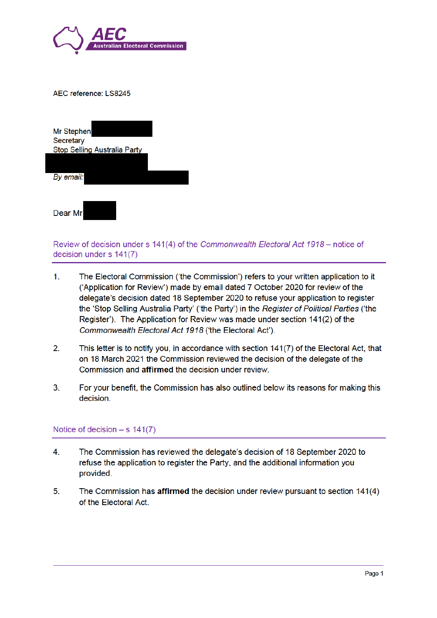

| AEC reference: LS8245 |  |  |  |  |  |
|-----------------------|--|--|--|--|--|
|-----------------------|--|--|--|--|--|

| Mr Stephen<br>Secretary<br><b>Stop Selling Australia Party</b> |  |
|----------------------------------------------------------------|--|
| By email:                                                      |  |
| Dear Mr                                                        |  |

Review of decision under s 141(4) of the Commonwealth Electoral Act 1918 - notice of decision under s 141(7)

- $1<sub>1</sub>$ The Electoral Commission ('the Commission') refers to your written application to it ('Application for Review') made by email dated 7 October 2020 for review of the delegate's decision dated 18 September 2020 to refuse your application to register the 'Stop Selling Australia Party' ('the Party') in the Register of Political Parties ('the Register'). The Application for Review was made under section 141(2) of the Commonwealth Electoral Act 1918 ('the Electoral Act').
- $2.$ This letter is to notify you, in accordance with section 141(7) of the Electoral Act, that on 18 March 2021 the Commission reviewed the decision of the delegate of the Commission and affirmed the decision under review.
- $3<sub>1</sub>$ For your benefit, the Commission has also outlined below its reasons for making this decision.

## Notice of decision  $-$  s 141(7)

- $\overline{4}$ . The Commission has reviewed the delegate's decision of 18 September 2020 to refuse the application to register the Party, and the additional information you provided.
- $5.$ The Commission has affirmed the decision under review pursuant to section 141(4) of the Electoral Act.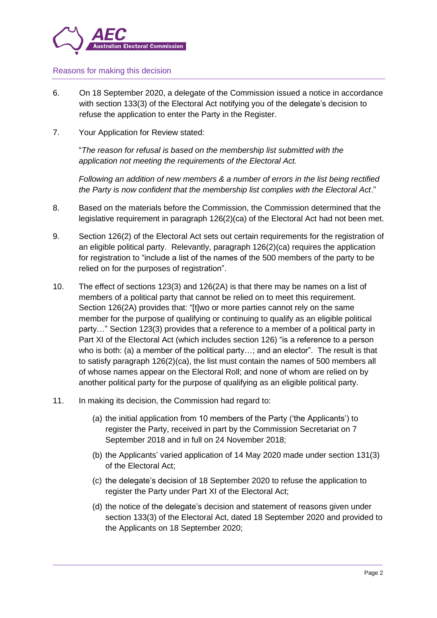

#### Reasons for making this decision

- 6. On 18 September 2020, a delegate of the Commission issued a notice in accordance with section 133(3) of the Electoral Act notifying you of the delegate's decision to refuse the application to enter the Party in the Register.
- 7. Your Application for Review stated:

"*The reason for refusal is based on the membership list submitted with the application not meeting the requirements of the Electoral Act.* 

*Following an addition of new members & a number of errors in the list being rectified the Party is now confident that the membership list complies with the Electoral Act*."

- 8. Based on the materials before the Commission, the Commission determined that the legislative requirement in paragraph 126(2)(ca) of the Electoral Act had not been met.
- 9. Section 126(2) of the Electoral Act sets out certain requirements for the registration of an eligible political party. Relevantly, paragraph 126(2)(ca) requires the application for registration to "include a list of the names of the 500 members of the party to be relied on for the purposes of registration".
- 10. The effect of sections 123(3) and 126(2A) is that there may be names on a list of members of a political party that cannot be relied on to meet this requirement. Section 126(2A) provides that: "[t]wo or more parties cannot rely on the same member for the purpose of qualifying or continuing to qualify as an eligible political party…" Section 123(3) provides that a reference to a member of a political party in Part XI of the Electoral Act (which includes section 126) "is a reference to a person who is both: (a) a member of the political party…; and an elector".The result is that to satisfy paragraph 126(2)(ca), the list must contain the names of 500 members all of whose names appear on the Electoral Roll; and none of whom are relied on by another political party for the purpose of qualifying as an eligible political party.
- 11. In making its decision, the Commission had regard to:
	- (a) the initial application from 10 members of the Party ('the Applicants') to register the Party, received in part by the Commission Secretariat on 7 September 2018 and in full on 24 November 2018;
	- (b) the Applicants' varied application of 14 May 2020 made under section 131(3) of the Electoral Act;
	- (c) the delegate's decision of 18 September 2020 to refuse the application to register the Party under Part XI of the Electoral Act;
	- (d) the notice of the delegate's decision and statement of reasons given under section 133(3) of the Electoral Act, dated 18 September 2020 and provided to the Applicants on 18 September 2020;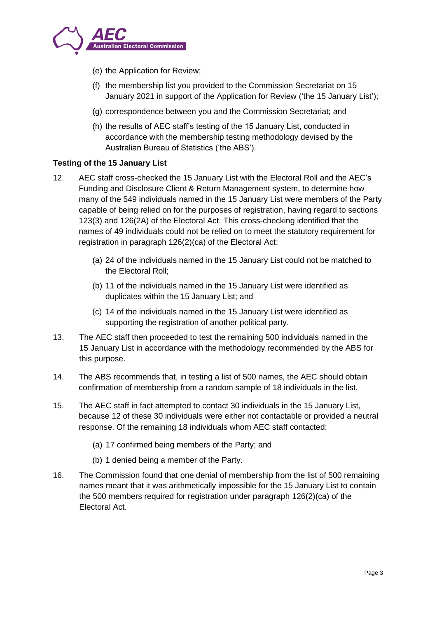

- (e) the Application for Review;
- (f) the membership list you provided to the Commission Secretariat on 15 January 2021 in support of the Application for Review ('the 15 January List');
- (g) correspondence between you and the Commission Secretariat; and
- (h) the results of AEC staff's testing of the 15 January List, conducted in accordance with the membership testing methodology devised by the Australian Bureau of Statistics ('the ABS').

## **Testing of the 15 January List**

- 12. AEC staff cross-checked the 15 January List with the Electoral Roll and the AEC's Funding and Disclosure Client & Return Management system, to determine how many of the 549 individuals named in the 15 January List were members of the Party capable of being relied on for the purposes of registration, having regard to sections 123(3) and 126(2A) of the Electoral Act. This cross-checking identified that the names of 49 individuals could not be relied on to meet the statutory requirement for registration in paragraph 126(2)(ca) of the Electoral Act:
	- (a) 24 of the individuals named in the 15 January List could not be matched to the Electoral Roll;
	- (b) 11 of the individuals named in the 15 January List were identified as duplicates within the 15 January List; and
	- (c) 14 of the individuals named in the 15 January List were identified as supporting the registration of another political party.
- 13. The AEC staff then proceeded to test the remaining 500 individuals named in the 15 January List in accordance with the methodology recommended by the ABS for this purpose.
- 14. The ABS recommends that, in testing a list of 500 names, the AEC should obtain confirmation of membership from a random sample of 18 individuals in the list.
- 15. The AEC staff in fact attempted to contact 30 individuals in the 15 January List, because 12 of these 30 individuals were either not contactable or provided a neutral response. Of the remaining 18 individuals whom AEC staff contacted:
	- (a) 17 confirmed being members of the Party; and
	- (b) 1 denied being a member of the Party.
- 16. The Commission found that one denial of membership from the list of 500 remaining names meant that it was arithmetically impossible for the 15 January List to contain the 500 members required for registration under paragraph 126(2)(ca) of the Electoral Act.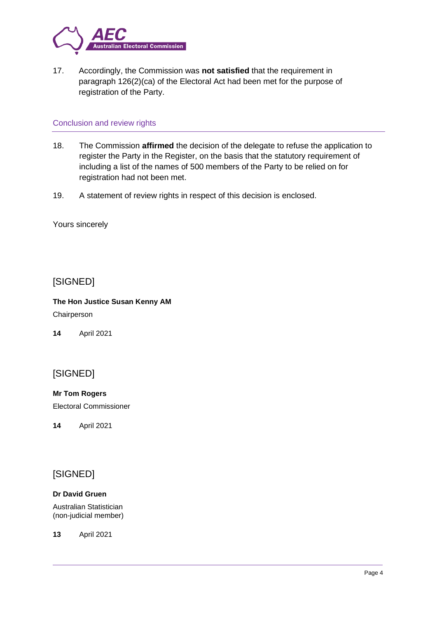

17. Accordingly, the Commission was **not satisfied** that the requirement in paragraph 126(2)(ca) of the Electoral Act had been met for the purpose of registration of the Party.

### Conclusion and review rights

- 18. The Commission **affirmed** the decision of the delegate to refuse the application to register the Party in the Register, on the basis that the statutory requirement of including a list of the names of 500 members of the Party to be relied on for registration had not been met.
- 19. A statement of review rights in respect of this decision is enclosed.

Yours sincerely

# [SIGNED]

**The Hon Justice Susan Kenny AM** Chairperson

**14** April 2021

# [SIGNED]

**Mr Tom Rogers**

Electoral Commissioner

**14** April 2021

# [SIGNED]

### **Dr David Gruen**

Australian Statistician (non-judicial member)

**13** April 2021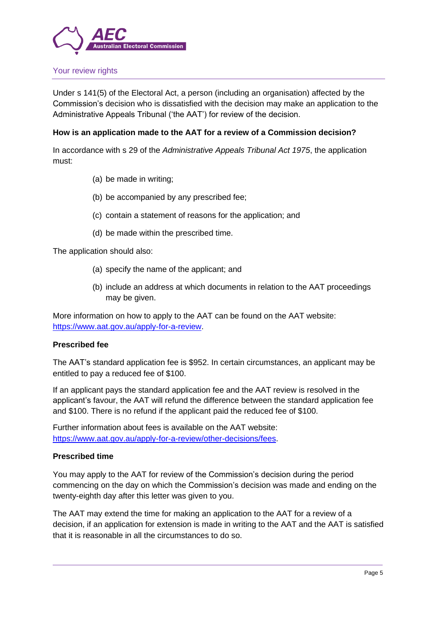

### Your review rights

Under s 141(5) of the Electoral Act, a person (including an organisation) affected by the Commission's decision who is dissatisfied with the decision may make an application to the Administrative Appeals Tribunal ('the AAT') for review of the decision.

#### **How is an application made to the AAT for a review of a Commission decision?**

In accordance with s 29 of the *Administrative Appeals Tribunal Act 1975*, the application must:

- (a) be made in writing;
- (b) be accompanied by any prescribed fee;
- (c) contain a statement of reasons for the application; and
- (d) be made within the prescribed time.

The application should also:

- (a) specify the name of the applicant; and
- (b) include an address at which documents in relation to the AAT proceedings may be given.

More information on how to apply to the AAT can be found on the AAT website: https://www.aat.gov.au/apply-for-a-review.

#### **Prescribed fee**

The AAT's standard application fee is \$952. In certain circumstances, an applicant may be entitled to pay a reduced fee of \$100.

If an applicant pays the standard application fee and the AAT review is resolved in the applicant's favour, the AAT will refund the difference between the standard application fee and \$100. There is no refund if the applicant paid the reduced fee of \$100.

Further information about fees is available on the AAT website: https://www.aat.gov.au/apply-for-a-review/other-decisions/fees.

#### **Prescribed time**

You may apply to the AAT for review of the Commission's decision during the period commencing on the day on which the Commission's decision was made and ending on the twenty-eighth day after this letter was given to you.

The AAT may extend the time for making an application to the AAT for a review of a decision, if an application for extension is made in writing to the AAT and the AAT is satisfied that it is reasonable in all the circumstances to do so.